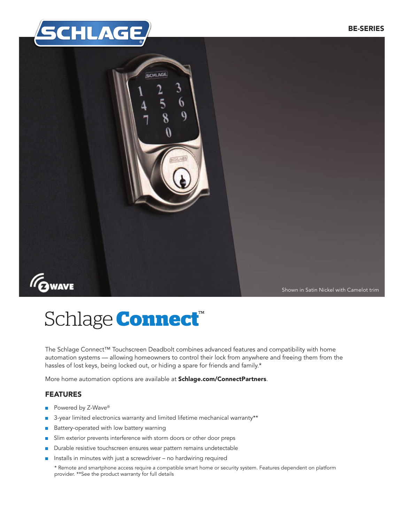



# Schlage **Connect**<sup>®</sup>

The Schlage Connect™ Touchscreen Deadbolt combines advanced features and compatibility with home automation systems — allowing homeowners to control their lock from anywhere and freeing them from the hassles of lost keys, being locked out, or hiding a spare for friends and family.\*

More home automation options are available at Schlage.com/ConnectPartners.

#### FEATURES

- Powered by Z-Wave<sup>®</sup>
- 3-year limited electronics warranty and limited lifetime mechanical warranty\*\*
- Battery-operated with low battery warning
- Slim exterior prevents interference with storm doors or other door preps
- Durable resistive touchscreen ensures wear pattern remains undetectable
- Installs in minutes with just a screwdriver no hardwiring required
	- \* Remote and smartphone access require a compatible smart home or security system. Features dependent on platform provider. \*\*See the product warranty for full details